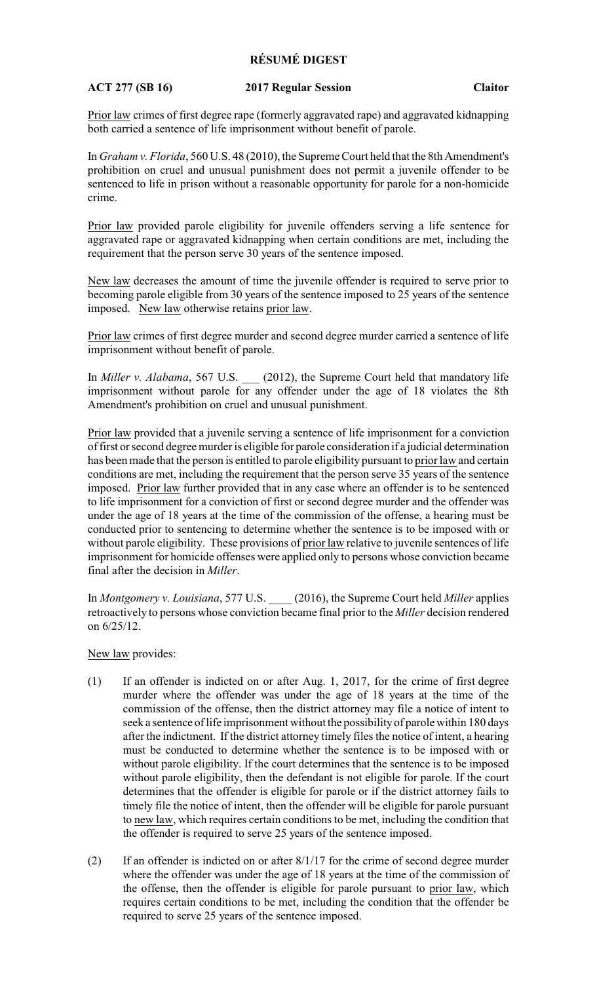## **RÉSUMÉ DIGEST**

## **ACT 277 (SB 16) 2017 Regular Session Claitor**

Prior law crimes of first degree rape (formerly aggravated rape) and aggravated kidnapping both carried a sentence of life imprisonment without benefit of parole.

In *Graham v. Florida*, 560 U.S. 48 (2010), the Supreme Court held that the 8th Amendment's prohibition on cruel and unusual punishment does not permit a juvenile offender to be sentenced to life in prison without a reasonable opportunity for parole for a non-homicide crime.

Prior law provided parole eligibility for juvenile offenders serving a life sentence for aggravated rape or aggravated kidnapping when certain conditions are met, including the requirement that the person serve 30 years of the sentence imposed.

New law decreases the amount of time the juvenile offender is required to serve prior to becoming parole eligible from 30 years of the sentence imposed to 25 years of the sentence imposed. New law otherwise retains prior law.

Prior law crimes of first degree murder and second degree murder carried a sentence of life imprisonment without benefit of parole.

In *Miller v. Alabama*, 567 U.S. \_\_\_ (2012), the Supreme Court held that mandatory life imprisonment without parole for any offender under the age of 18 violates the 8th Amendment's prohibition on cruel and unusual punishment.

Prior law provided that a juvenile serving a sentence of life imprisonment for a conviction of first or second degree murder is eligible for parole consideration if a judicial determination has been made that the person is entitled to parole eligibility pursuant to prior law and certain conditions are met, including the requirement that the person serve 35 years of the sentence imposed. Prior law further provided that in any case where an offender is to be sentenced to life imprisonment for a conviction of first or second degree murder and the offender was under the age of 18 years at the time of the commission of the offense, a hearing must be conducted prior to sentencing to determine whether the sentence is to be imposed with or without parole eligibility. These provisions of prior law relative to juvenile sentences of life imprisonment for homicide offenses were applied only to persons whose conviction became final after the decision in *Miller*.

In *Montgomery v. Louisiana*, 577 U.S. \_\_\_\_ (2016), the Supreme Court held *Miller* applies retroactively to persons whose conviction became final prior to the *Miller* decision rendered on 6/25/12.

New law provides:

- (1) If an offender is indicted on or after Aug. 1, 2017, for the crime of first degree murder where the offender was under the age of 18 years at the time of the commission of the offense, then the district attorney may file a notice of intent to seek a sentence of life imprisonment without the possibility of parole within 180 days after the indictment. If the district attorney timely files the notice of intent, a hearing must be conducted to determine whether the sentence is to be imposed with or without parole eligibility. If the court determines that the sentence is to be imposed without parole eligibility, then the defendant is not eligible for parole. If the court determines that the offender is eligible for parole or if the district attorney fails to timely file the notice of intent, then the offender will be eligible for parole pursuant to new law, which requires certain conditions to be met, including the condition that the offender is required to serve 25 years of the sentence imposed.
- (2) If an offender is indicted on or after 8/1/17 for the crime of second degree murder where the offender was under the age of 18 years at the time of the commission of the offense, then the offender is eligible for parole pursuant to prior law, which requires certain conditions to be met, including the condition that the offender be required to serve 25 years of the sentence imposed.